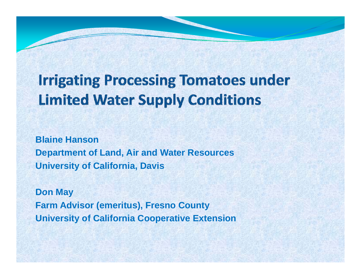# **Irrigating Processing Tomatoes under Limited Water Supply Conditions**

**Blaine HansonDepartment of Land, Air and Water Resources University of California, Davis**

**Don May Farm Advisor (emeritus), Fresno County University of California Cooperative Extension**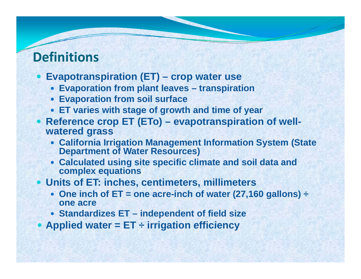# **Definitions**

- y **Evapotranspiration (ET) – crop water use**
	- y **Evaporation from plant leaves leaves – transpiration**
	- **Evaporation from soil surface**
	- y **ET varies with stage of growth and time of year**
- y **Reference crop ET (ETo) (ETo) – evapotranspiration of well wellwatered grass**
	- **California Irrigation Management Information System (State Department of Water Resources)**
	- **Calculated using site specific climate and soil data and complex equations**
- **Units of ET: inches, centimeters, millimeters** 
	- One inch of ET = one acre-inch of water (27,160 gallons)  $\div$ **one acre**
	- y **Standardizes ET – independent of field size**
- y **Applied water <sup>=</sup> ET <sup>÷</sup> irrigation efficiency**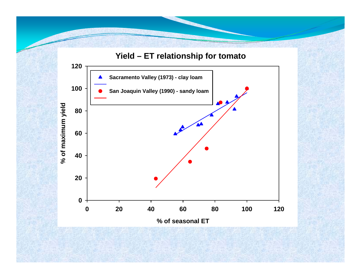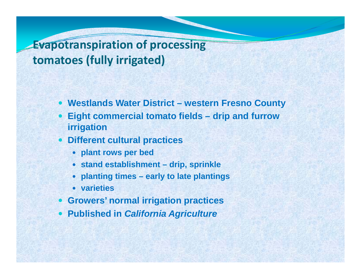# **Evapotranspiration of processing tomatoes (fully irrigated)**

- $\bullet$ **Westlands Water District – western Fresno County**
- $\bullet$  **Eight commercial tomato fields – drip and furrow irrigation**
- $\bullet$  **Different cultural practices**
	- y **p p lant rows per bed**
	- y **stand establishment – drip, sprinkle**
	- y **planting times – early to late plantings**
	- **•** varieties
- $\bullet$ **Growers' normal irrigation practices**
- y **Published in** *California Agriculture*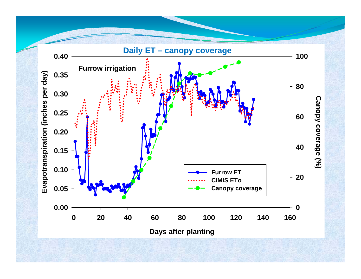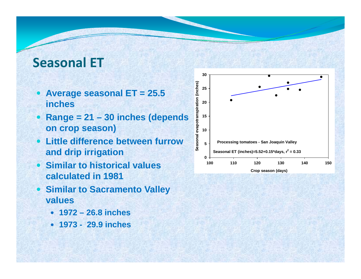# **Seasonal ET**

- y **Average seasonal ET = 25.5 inches e Average seasonal ET = 25.5**<br>
inches<br> **e** Range = 21 – 30 inches (depends
- $\bullet$ **on crop season)**
- $\bullet$  **Little difference between furrow and drip irrigation p g**
- **Similar to historical values calculated in 1981**
- y **Similar to Sacramento Valley values**
	- y **1972 – 26.8 inches**
	- y **1973 - 29.9 inches**

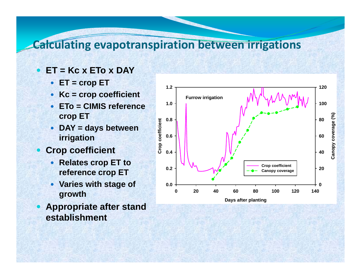## **Calculating evapotranspiration between irrigations**

- $\bullet$  **ET = Kc x ETo x DAY**
	- y **ET = crop ET <sup>1</sup> <sup>2</sup>**
	- Kc = crop coefficient
	- $\bullet$  **ETo = CIMIS reference crop ET**
	- y **DAY = days between irrigation**
- $\bullet$  **Crop coefficient** 
	- **Relates crop ET to reference crop ET**
	- Varies with stage of **thgrowth**
- **Appropriate after stand establishment**

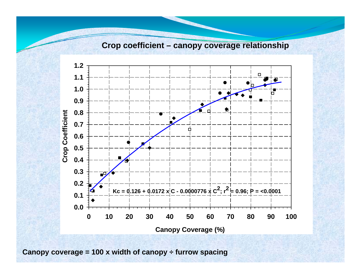#### **Crop coefficient – canopy coverage relationship**



**Canopy coverage = 100 x width of canopy ÷ furrow spacing**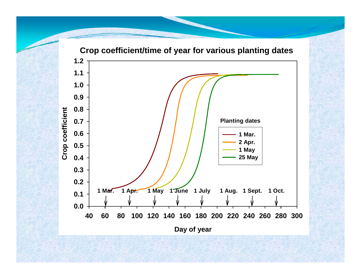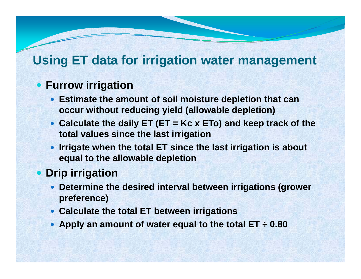# **Using ET data for irrigation water management**

### **• Furrow irrigation**

- **Estimate the amount of soil moisture depletion that can occur without reducing yield (allowable depletion)**
- Calculate the daily ET (ET = Kc x ETo) and keep track of the **total values since the last irrigation**
- **Irrigate when the total ET since the last irrigation is about equal to the allowable depletion**

## **• Drip irrigation**

- **Determine the desired interval between irrigations (grower preference)**
- **Calculate the total ET between irrigations**
- y **Apply an amount of water equal to the total ET ÷ 0.80**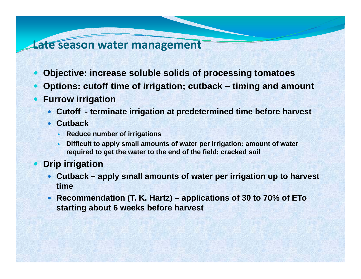#### **Late season water management**

- $\bullet$ **Objective: increase soluble solids of processing tomatoes**
- $\bullet$ Options: cutoff time of irrigation; cutback – timing and amount
- $\bullet$  **Furrow irrigation**
	- y **Cutoff - terminate irrigation at predetermined time before harvest**
	- **Cutback** 
		- **Reduce number of irrigations**
		- $\bullet$  **Difficult to apply small amounts of water per irrigation: amount of water required to get the water to the end of the field; cracked soil**
- **Drip irrigation**

 $\bullet$ 

- Cutback apply small amounts of water per irrigation up to harvest **time**
- y **Recommendation (T. K. Hartz) – applications of 30 to 70% of ETo starting about 6 weeks before harvest**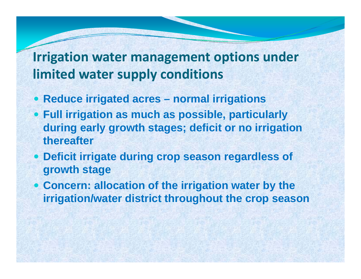# **Irrigation water management options under limited water supply conditions**

- y **Reduce irrigated acres – normal irrigations**
- y **Full irrigation as much as possible, particularly during early growth stages; deficit or no irrigation thereafter**
- y **Deficit irrigate during crop season regardless of crop growth stage**
- **Concern: allocation of the irrigation water by the irrigation/water district throughout the crop season**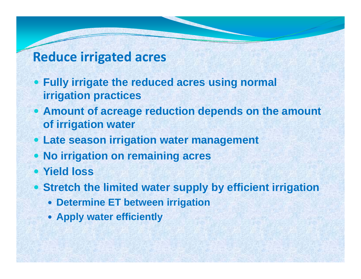## **Reduce irrigated acres**

- **Fully irrigate the reduced acres using normal irrigation practices**
- **Amount of acreage reduction depends on the amount of i i ti t f irrigation water**
- **Late season irrigation water management**
- y **No irrigation on remaining acres**
- **Yield loss**
- y **Stretch the limited water supp y y g l b efficient irrigation**
	- **Determine ET between irrigation**
	- **Apply water efficiently**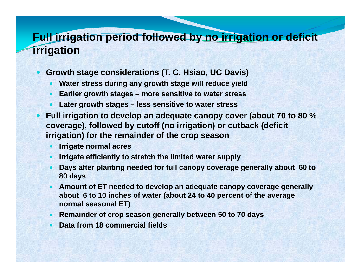## **Full irrigation period followed by no irrigation or deficit irrigation**

- **Growth stage considerations (T. C. Hsiao, UC Davis)** 
	- $\bullet$ **• Water stress during any growth stage will reduce yield**
	- $\bullet$ **Earlier growth stages – more sensitive to water stress**
	- y **Later growth stages – less sensitive to water stress**
- y **Full irrigation to develop an adequate canopy cover (about 70 to 80 % coverage), followed by cutoff (no irrigation) or cutback (deficit irrigation) for the remainder of the crop season**
	- $\bullet$ **Irrigate normal acres**
	- $\bullet$ **Irrigate efficiently to stretch the limited water supply**
	- $\bullet$  **Days after planting needed for full canopy coverage generally about 60 to 80 days**
	- $\bullet$  **Amount of ET needed to develop an adequate canopy coverage generally about 6 to 10 inches of water (about 24 to 40 percent of the average normal seasonal ET)**
	- **Remainder of crop season generally between 50 to 70 days**
	- $\bullet$ **Data from 18 commercial fields**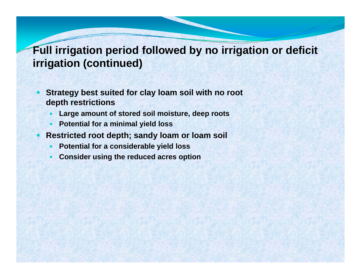## **Full irrigation period followed by no irrigation or deficit irrigation (continued)**

- $\bullet$  **Strategy best suited for clay loam soil with no root depth restrictions**
	- $\bullet$ **Large amount of stored soil moisture, deep roots**
	- $\bullet$ • Potential for a minimal yield loss

y

- **Restricted root depth; sandy loam or loam soil**
	- $\bullet$ **Potential for a considerable yield loss**
	- $\bullet$ **Consider using the reduced acres option**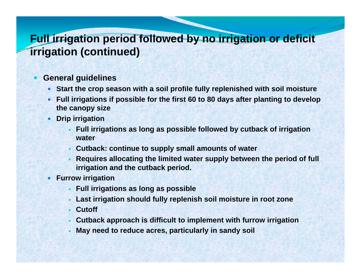## **Full irrigation period followed by no irrigation or deficit irrigation (continued)**

#### $\bullet$ **General guidelines**

- Start the crop season with a soil profile fully replenished with soil moisture
- Full irrigations if possible for the first 60 to 80 days after planting to develop **the canopy size**
- **•** Drip irrigation
	- $\bullet$  **Full irrigations as long as possible followed by cutback of irrigation water**
	- $\bullet$ **Cutback: continue to supply small amounts of water**
	- $\bullet$ • Requires allocating the limited water supply between the period of full **irrigation and the cutback period.**
- **Furrow irrigation** 
	- **.** Full irrigations as long as possible
	- $\bullet$ **Last irrigation should fully replenish soil moisture in root zone**
	- $\bullet$ **Cutoff**
	- **Cutback approach is difficult to implement with furrow irrigation**
	- $\bullet$ **May need to reduce acres, particularly in sandy soil**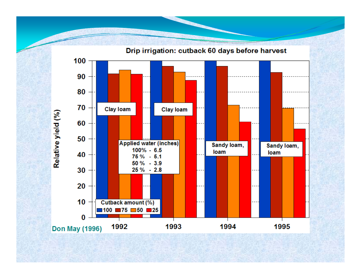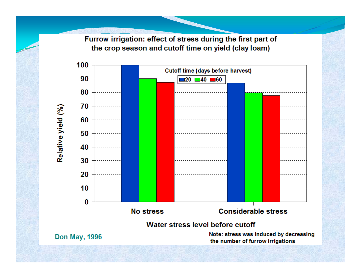Furrow irrigation: effect of stress during the first part of the crop season and cutoff time on yield (clay loam)

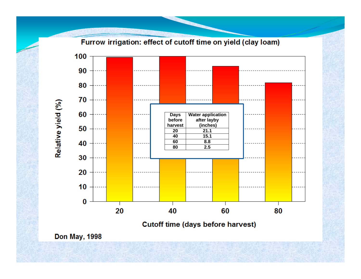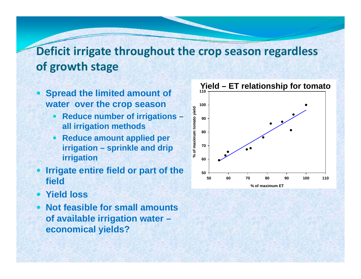# **Deficit irrigate throughout the crop season regardless of growth stage**

- $\bullet$  **Spread the limited amount of water over the crop season**
	- $\bullet$ **Reduce number of irrigations – all irrigation methods**
	- **Reduce amount applied per irrigation – sprinkle and drip**  all irrigation methods<br> **Reduce amount applied per**<br>
	irrigation – sprinkle and drip<br>
	irrigation **irrigation**
- **Irrigate entire field or part of the field**
- **Yield loss**  $\bullet$
- y **Not feasible for small amounts of available irrigation water – economi l i ld ? ical yields?**

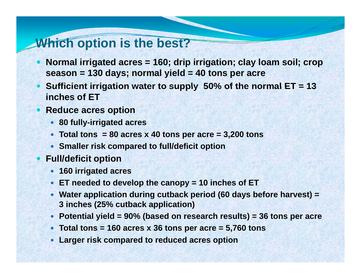## **Which option is the best?**

- Normal irrigated acres = 160; drip irrigation; clay loam soil; crop **season = 130 days; normal yield = 40 tons per acre**
- $\bullet$ • Sufficient irrigation water to supply 50% of the normal ET = 13 **inches of ET**
- **Reduce acres option** 
	- y **80 fully -irrigated acres irrigated**
	- y **Total tons = 80 acres x 40 tons per acre = 3,200 tons**
	- **Smaller risk compared to full/deficit option**
- $\bullet$  **F ll/d fi it ti ull/d efi cit option**
	- **160 irrigated acres**
	- y **ET needed to develop the canopy = 10 inches of ET**
	- Water application during cutback period (60 days before harvest) = **3 inches (25% cutback application)**
	- y **Potential yield = 90% (based on research results) = 36 tons per acre**
	- Total tons = 160 acres x 36 tons per acre =  $5,760$  tons
	- $\bullet$ **Larger risk compared to reduced acres option**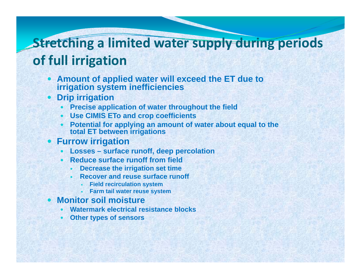# **Stretching <sup>a</sup> limited water supply during periods of full irrigation**

- y **Amount of applied water will exceed the ET due to irrigation system inefficiencies**
- $\bullet$  **Drip irrigation**
	- $\bullet$ **Precise application of water throughout the field**
	- $\bullet$ **Use CIMIS ETo and crop coefficients**
	- $\bullet$ **Potential for applying an amount of water about equal to the total ET between irrigations**
- $\bullet$  **Furrow irrigation**
	- $\bullet$ **Losses – surface runoff, deep percolation**
	- $\bullet$  **Reduce surface runoff from field**
		- $\bullet$ **Decrease the irrigation set time**
		- $\bullet$  **Recover and reuse surface runoff** 
			- $\bullet$ **Field recirculation system**
			- $\bullet$ **Farm tail water reuse system system**
- $\bullet$  **Monitor soil moisture**
	- $\bullet$ **Watermark electrical resistance blocks**
	- $\bullet$ **Other types of sensors**